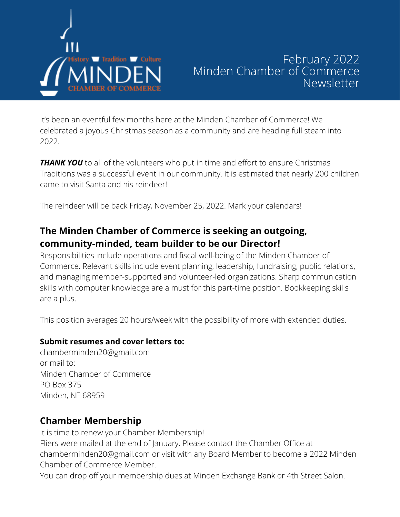

# February 2022 Minden Chamber of Commerce Newsletter

It's been an eventful few months here at the Minden Chamber of Commerce! We celebrated a joyous Christmas season as a community and are heading full steam into 2022.

**THANK YOU** to all of the volunteers who put in time and effort to ensure Christmas Traditions was a successful event in our community. It is estimated that nearly 200 children came to visit Santa and his reindeer!

The reindeer will be back Friday, November 25, 2022! Mark your calendars!

## **The Minden Chamber of Commerce is seeking an outgoing, community-minded, team builder to be our Director!**

Responsibilities include operations and fiscal well-being of the Minden Chamber of Commerce. Relevant skills include event planning, leadership, fundraising, public relations, and managing member-supported and volunteer-led organizations. Sharp communication skills with computer knowledge are a must for this part-time position. Bookkeeping skills are a plus.

This position averages 20 hours/week with the possibility of more with extended duties.

### **Submit resumes and cover letters to:**

chamberminden20@gmail.com or mail to: Minden Chamber of Commerce PO Box 375 Minden, NE 68959

## **Chamber Membership**

It is time to renew your Chamber Membership! Fliers were mailed at the end of January. Please contact the Chamber Office at [chamberminden20@gmail.com](mailto:chamberminden20@gmail.com) or visit with any Board Member to become a 2022 Minden Chamber of Commerce Member.

You can drop off your membership dues at Minden Exchange Bank or 4th Street Salon.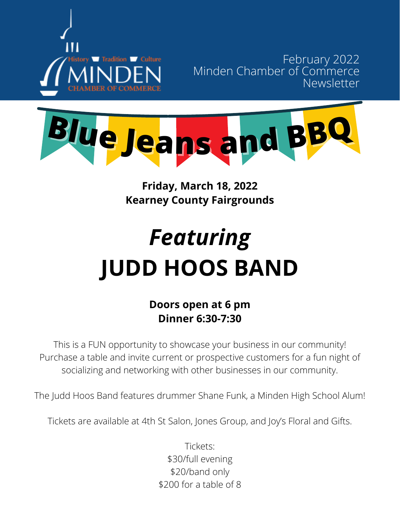

February 2022 Minden Chamber of Commerce Newsletter



# **Friday, March 18, 2022 Kearney County Fairgrounds**

# *Featuring* **JUDD HOOS BAND**

# **Doors open at 6 pm Dinner 6:30-7:30**

This is a FUN opportunity to showcase your business in our community! Purchase a table and invite current or prospective customers for a fun night of socializing and networking with other businesses in our community.

The Judd Hoos Band features drummer Shane Funk, a Minden High School Alum!

Tickets are available at 4th St Salon, Jones Group, and Joy's Floral and Gifts.

Tickets: \$30/full evening \$20/band only \$200 for a table of 8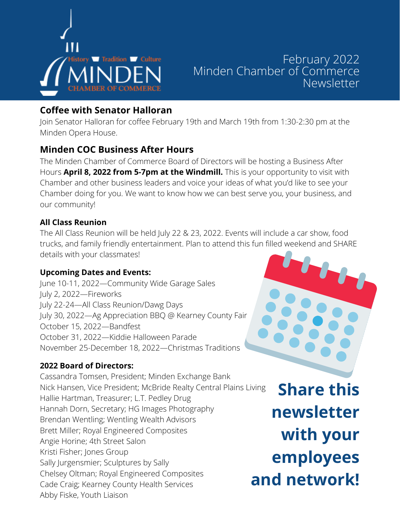

# February Tradition Leuture February 2022 Minden Chamber of Commerce Newsletter

## **Coffee with Senator Halloran**

Join Senator Halloran for coffee February 19th and March 19th from 1:30-2:30 pm at the Minden Opera House.

## **Minden COC Business After Hours**

The Minden Chamber of Commerce Board of Directors will be hosting a Business After Hours **April 8, 2022 from 5-7pm at the Windmill.** This is your opportunity to visit with Chamber and other business leaders and voice your ideas of what you'd like to see your Chamber doing for you. We want to know how we can best serve you, your business, and our community!

#### **All Class Reunion**

The All Class Reunion will be held July 22 & 23, 2022. Events will include a car show, food trucks, and family friendly entertainment. Plan to attend this fun filled weekend and SHARE details with your classmates!

### **Upcoming Dates and Events:**

June 10-11, 2022—Community Wide Garage Sales July 2, 2022—Fireworks July 22-24—All Class Reunion/Dawg Days July 30, 2022—Ag Appreciation BBQ @ Kearney County Fair October 15, 2022—Bandfest October 31, 2022—Kiddie Halloween Parade November 25-December 18, 2022—Christmas Traditions

### **2022 Board of Directors:**

Cassandra Tomsen, President; Minden Exchange Bank Nick Hansen, Vice President; McBride Realty Central Plains Living Hallie Hartman, Treasurer; L.T. Pedley Drug Hannah Dorn, Secretary; HG Images Photography Brendan Wentling; Wentling Wealth Advisors Brett Miller; Royal Engineered Composites Angie Horine; 4th Street Salon Kristi Fisher; Jones Group Sally Jurgensmier; Sculptures by Sally Chelsey Oltman; Royal Engineered Composites Cade Craig; Kearney County Health Services Abby Fiske, Youth Liaison

**Share this newsletter with your employees and network!**